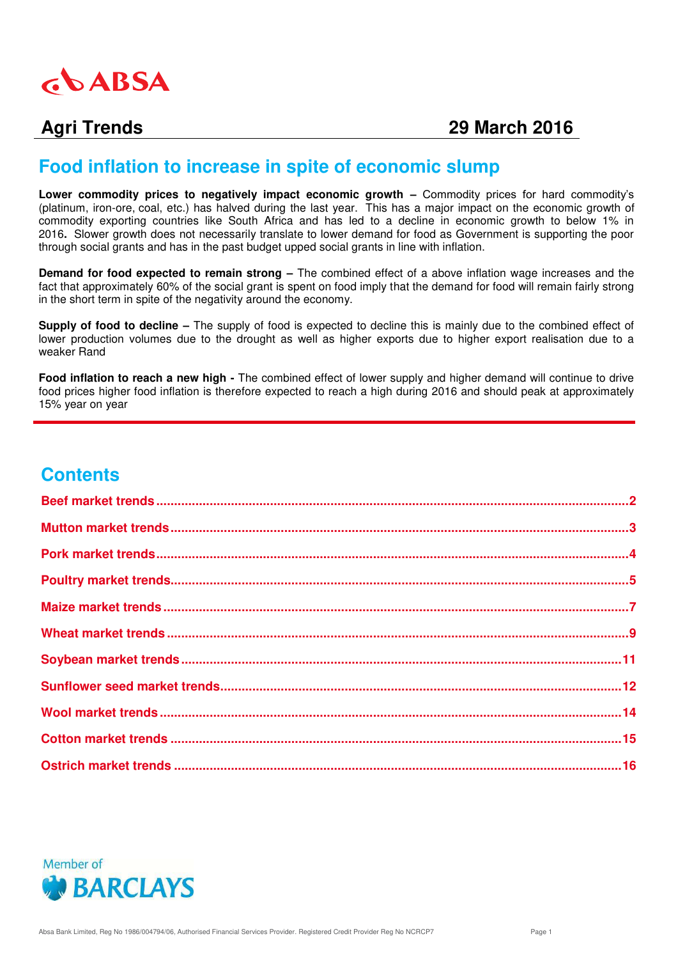

# **Agri Trends 29 March 2016**

# **Food inflation to increase in spite of economic slump**

**Lower commodity prices to negatively impact economic growth – Commodity prices for hard commodity's** (platinum, iron-ore, coal, etc.) has halved during the last year. This has a major impact on the economic growth of commodity exporting countries like South Africa and has led to a decline in economic growth to below 1% in 2016**.** Slower growth does not necessarily translate to lower demand for food as Government is supporting the poor through social grants and has in the past budget upped social grants in line with inflation.

**Demand for food expected to remain strong –** The combined effect of a above inflation wage increases and the fact that approximately 60% of the social grant is spent on food imply that the demand for food will remain fairly strong in the short term in spite of the negativity around the economy.

**Supply of food to decline –** The supply of food is expected to decline this is mainly due to the combined effect of lower production volumes due to the drought as well as higher exports due to higher export realisation due to a weaker Rand

**Food inflation to reach a new high -** The combined effect of lower supply and higher demand will continue to drive food prices higher food inflation is therefore expected to reach a high during 2016 and should peak at approximately 15% year on year

# **Contents**

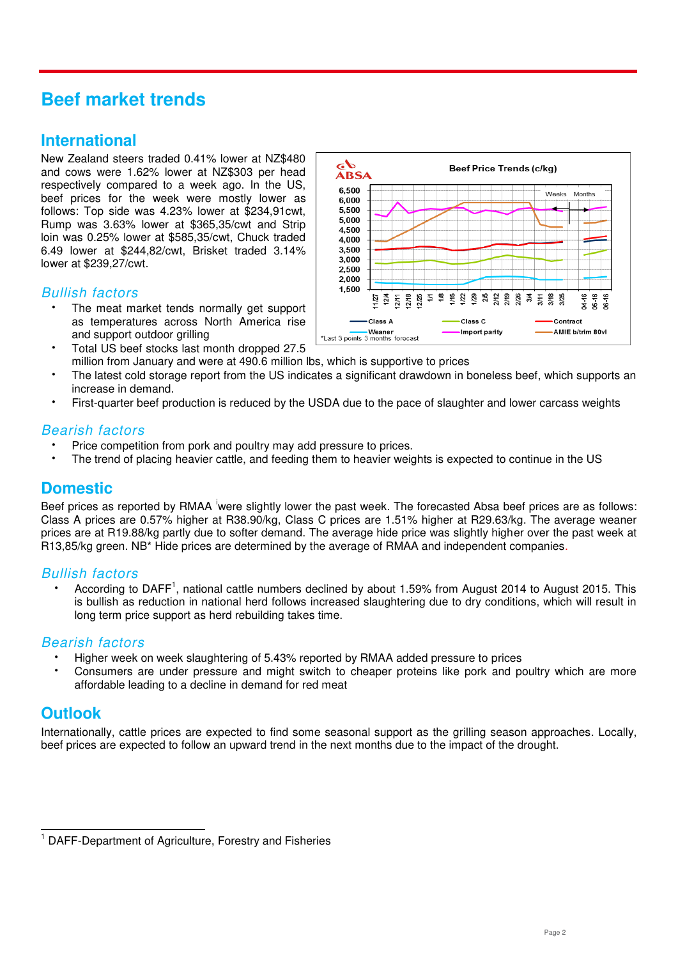# <span id="page-1-0"></span>**Beef market trends**

# **International**

New Zealand steers traded 0.41% lower at NZ\$480 and cows were 1.62% lower at NZ\$303 per head respectively compared to a week ago. In the US, beef prices for the week were mostly lower as follows: Top side was 4.23% lower at \$234,91cwt, Rump was 3.63% lower at \$365,35/cwt and Strip loin was 0.25% lower at \$585,35/cwt, Chuck traded 6.49 lower at \$244,82/cwt, Brisket traded 3.14% lower at \$239,27/cwt.

### *Bullish factors*

- The meat market tends normally get support as temperatures across North America rise and support outdoor grilling
- Total US beef stocks last month dropped 27.5 million from January and were at 490.6 million lbs, which is supportive to prices
- The latest cold storage report from the US indicates a significant drawdown in boneless beef, which supports an increase in demand.
- First-quarter beef production is reduced by the USDA due to the pace of slaughter and lower carcass weights

#### *Bearish factors*

- Price competition from pork and poultry may add pressure to prices.
- The trend of placing heavier cattle, and feeding them to heavier weights is expected to continue in the US

## **Domestic**

Beef prices as reported by RMAA iwere slightly lower the past week. The forecasted Absa beef prices are as follows: Class A prices are 0.57% higher at R38.90/kg, Class C prices are 1.51% higher at R29.63/kg. The average weaner prices are at R19.88/kg partly due to softer demand. The average hide price was slightly higher over the past week at R13,85/kg green. NB\* Hide prices are determined by the average of RMAA and independent companies.

#### *Bullish factors*

• According to DAFF<sup>1</sup>, national cattle numbers declined by about 1.59% from August 2014 to August 2015. This is bullish as reduction in national herd follows increased slaughtering due to dry conditions, which will result in long term price support as herd rebuilding takes time.

#### *Bearish factors*

- Higher week on week slaughtering of 5.43% reported by RMAA added pressure to prices
- Consumers are under pressure and might switch to cheaper proteins like pork and poultry which are more affordable leading to a decline in demand for red meat

# **Outlook**

Internationally, cattle prices are expected to find some seasonal support as the grilling season approaches. Locally, beef prices are expected to follow an upward trend in the next months due to the impact of the drought.



 $\overline{\phantom{a}}$ 1 DAFF-Department of Agriculture, Forestry and Fisheries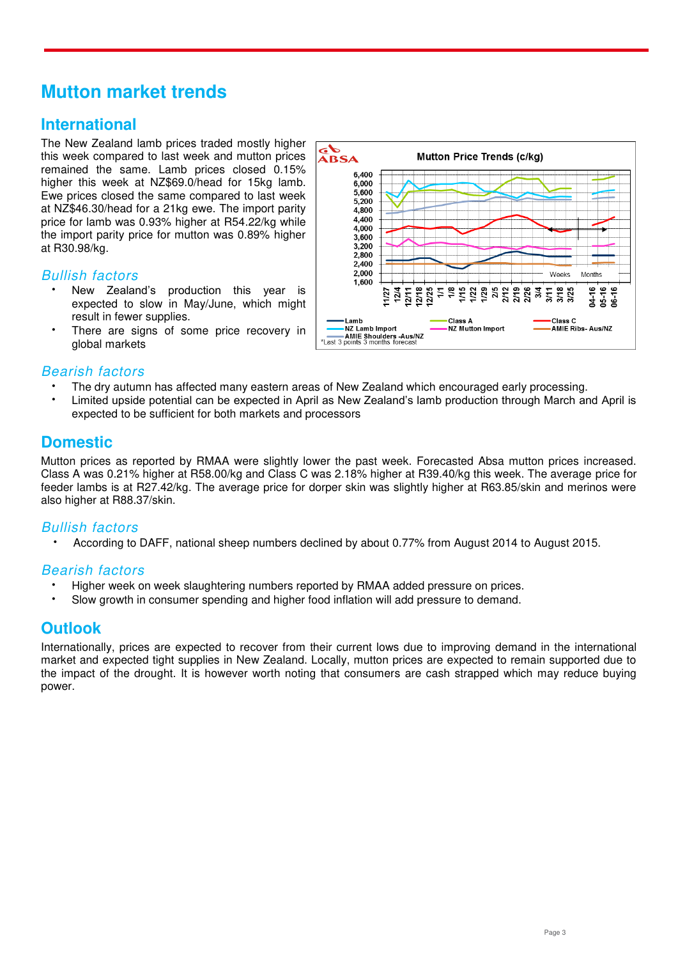# <span id="page-2-0"></span>**Mutton market trends**

# **International**

The New Zealand lamb prices traded mostly higher this week compared to last week and mutton prices remained the same. Lamb prices closed 0.15% higher this week at NZ\$69.0/head for 15kg lamb. Ewe prices closed the same compared to last week at NZ\$46.30/head for a 21kg ewe. The import parity price for lamb was 0.93% higher at R54.22/kg while the import parity price for mutton was 0.89% higher at R30.98/kg.

#### *Bullish factors*

- New Zealand's production this year is expected to slow in May/June, which might result in fewer supplies.
- There are signs of some price recovery in global markets



#### *Bearish factors*

- The dry autumn has affected many eastern areas of New Zealand which encouraged early processing.
- Limited upside potential can be expected in April as New Zealand's lamb production through March and April is expected to be sufficient for both markets and processors

# **Domestic**

Mutton prices as reported by RMAA were slightly lower the past week. Forecasted Absa mutton prices increased. Class A was 0.21% higher at R58.00/kg and Class C was 2.18% higher at R39.40/kg this week. The average price for feeder lambs is at R27.42/kg. The average price for dorper skin was slightly higher at R63.85/skin and merinos were also higher at R88.37/skin.

### *Bullish factors*

According to DAFF, national sheep numbers declined by about 0.77% from August 2014 to August 2015.

### *Bearish factors*

- Higher week on week slaughtering numbers reported by RMAA added pressure on prices.
- Slow growth in consumer spending and higher food inflation will add pressure to demand.

# **Outlook**

Internationally, prices are expected to recover from their current lows due to improving demand in the international market and expected tight supplies in New Zealand. Locally, mutton prices are expected to remain supported due to the impact of the drought. It is however worth noting that consumers are cash strapped which may reduce buying power.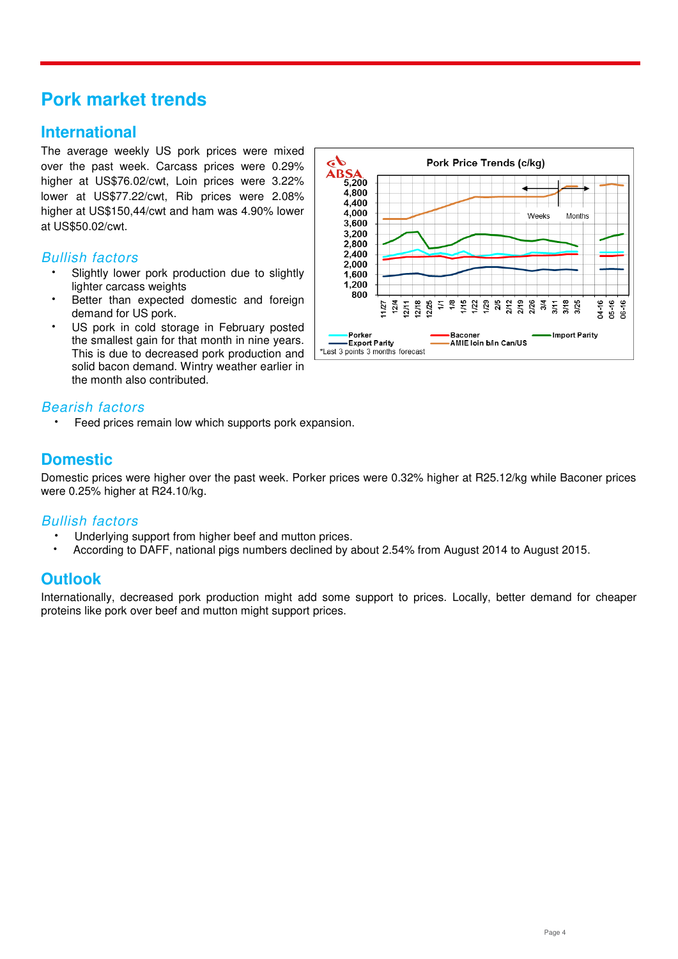# <span id="page-3-0"></span>**Pork market trends**

# **International**

The average weekly US pork prices were mixed over the past week. Carcass prices were 0.29% higher at US\$76.02/cwt, Loin prices were 3.22% lower at US\$77.22/cwt, Rib prices were 2.08% higher at US\$150,44/cwt and ham was 4.90% lower at US\$50.02/cwt.

#### *Bullish factors*

- Slightly lower pork production due to slightly lighter carcass weights
- Better than expected domestic and foreign demand for US pork.
- US pork in cold storage in February posted the smallest gain for that month in nine years. This is due to decreased pork production and solid bacon demand. Wintry weather earlier in the month also contributed.

#### $4.800$ 4,400  $4,000$ **Weeks** Months 3,600  $3.200$ 2,800  $2,400$ 2,000 1,600  $1,200$  $800$ 34-16<br>85-16<br>86-16  $124$ <br> $124$ <br> $211$  $2/18$ <br> $2/25$  $\mathbb{H}$  $\frac{16}{6}$ 125<br>2525 2635<br>2526 355 3/18<br>3/25 - Baconer<br>- AMIE Ioin b*l*in Can/US **Import Parity** Porker - Export Parity \*Last 3 points 3 months forecast

Pork Price Trends (c/kg)

## *Bearish factors*

Feed prices remain low which supports pork expansion.

# **Domestic**

Domestic prices were higher over the past week. Porker prices were 0.32% higher at R25.12/kg while Baconer prices were 0.25% higher at R24.10/kg.

do

**ABSA**<sub>5,200</sub>

#### *Bullish factors*

- Underlying support from higher beef and mutton prices.
- According to DAFF, national pigs numbers declined by about 2.54% from August 2014 to August 2015.

# **Outlook**

Internationally, decreased pork production might add some support to prices. Locally, better demand for cheaper proteins like pork over beef and mutton might support prices.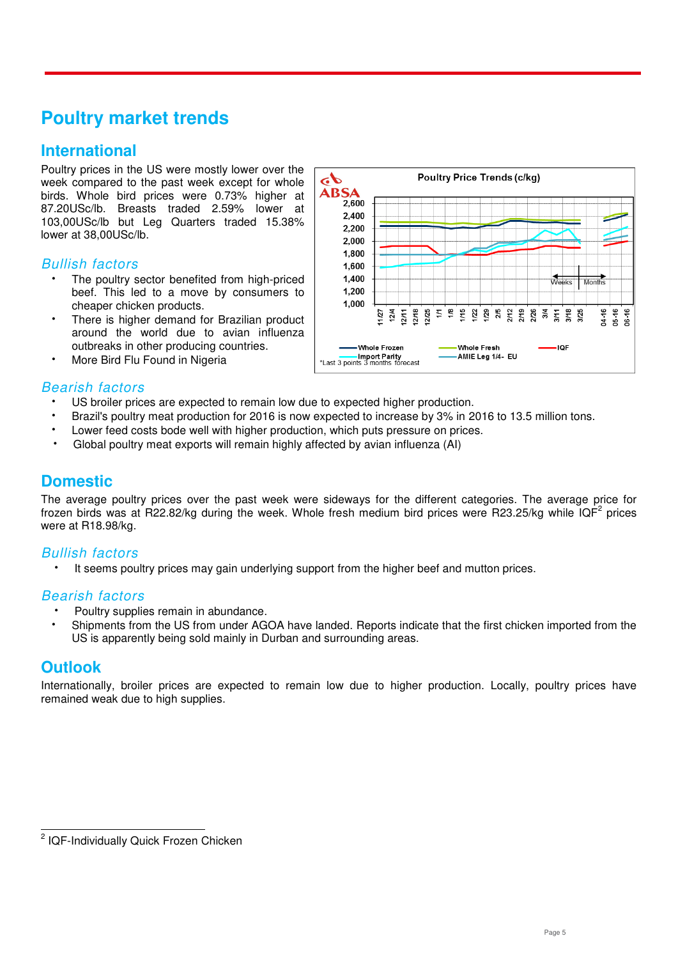# <span id="page-4-0"></span>**Poultry market trends**

# **International**

Poultry prices in the US were mostly lower over the week compared to the past week except for whole birds. Whole bird prices were 0.73% higher at 87.20USc/lb. Breasts traded 2.59% lower at 103,00USc/lb but Leg Quarters traded 15.38% lower at 38,00USc/lb.

#### *Bullish factors*

- The poultry sector benefited from high-priced beef. This led to a move by consumers to cheaper chicken products.
- There is higher demand for Brazilian product around the world due to avian influenza outbreaks in other producing countries.
- More Bird Flu Found in Nigeria



### *Bearish factors*

- US broiler prices are expected to remain low due to expected higher production.
- Brazil's poultry meat production for 2016 is now expected to increase by 3% in 2016 to 13.5 million tons.
- Lower feed costs bode well with higher production, which puts pressure on prices.
- Global poultry meat exports will remain highly affected by avian influenza (AI)

### **Domestic**

The average poultry prices over the past week were sideways for the different categories. The average price for frozen birds was at R22.82/kg during the week. Whole fresh medium bird prices were R23.25/kg while IQF<sup>2</sup> prices were at R18.98/kg.

### *Bullish factors*

It seems poultry prices may gain underlying support from the higher beef and mutton prices.

#### *Bearish factors*

- Poultry supplies remain in abundance.
- Shipments from the US from under AGOA have landed. Reports indicate that the first chicken imported from the US is apparently being sold mainly in Durban and surrounding areas.

# **Outlook**

Internationally, broiler prices are expected to remain low due to higher production. Locally, poultry prices have remained weak due to high supplies.

 2 IQF-Individually Quick Frozen Chicken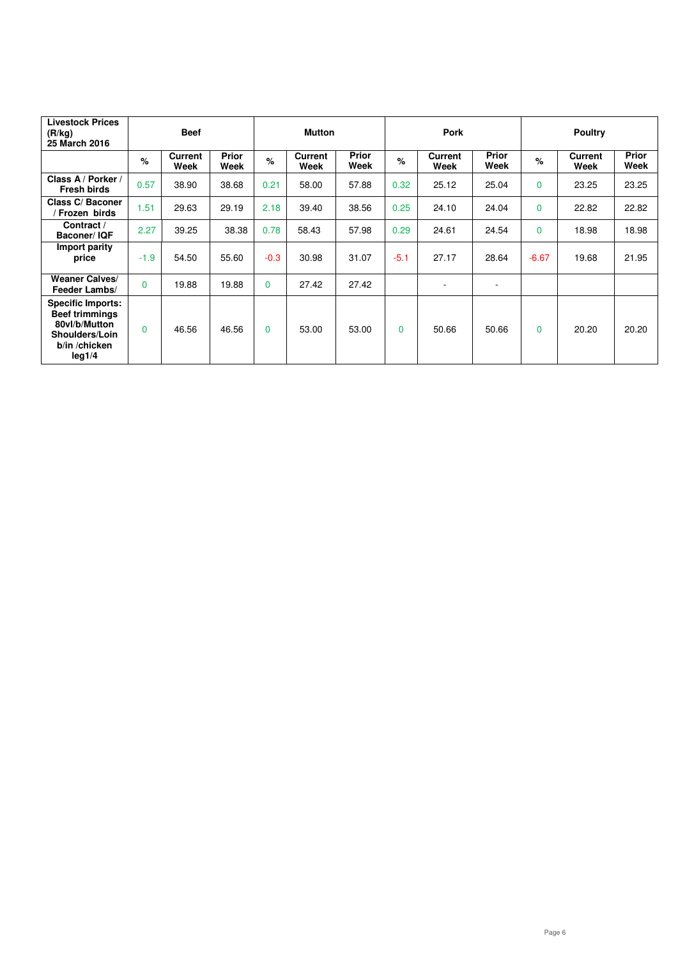| <b>Livestock Prices</b><br>(R/kg)<br>25 March 2016                                                              | <b>Beef</b> |                 |                      | <b>Mutton</b> |                        |                      | <b>Pork</b> |                 |                      | <b>Poultry</b> |                        |                      |
|-----------------------------------------------------------------------------------------------------------------|-------------|-----------------|----------------------|---------------|------------------------|----------------------|-------------|-----------------|----------------------|----------------|------------------------|----------------------|
|                                                                                                                 | %           | Current<br>Week | <b>Prior</b><br>Week | $\%$          | <b>Current</b><br>Week | <b>Prior</b><br>Week | $\%$        | Current<br>Week | <b>Prior</b><br>Week | %              | <b>Current</b><br>Week | <b>Prior</b><br>Week |
| Class A / Porker /<br><b>Fresh birds</b>                                                                        | 0.57        | 38.90           | 38.68                | 0.21          | 58.00                  | 57.88                | 0.32        | 25.12           | 25.04                | $\Omega$       | 23.25                  | 23.25                |
| Class C/Baconer<br>Frozen birds                                                                                 | 1.51        | 29.63           | 29.19                | 2.18          | 39.40                  | 38.56                | 0.25        | 24.10           | 24.04                | $\Omega$       | 22.82                  | 22.82                |
| Contract /<br><b>Baconer/IQF</b>                                                                                | 2.27        | 39.25           | 38.38                | 0.78          | 58.43                  | 57.98                | 0.29        | 24.61           | 24.54                | $\Omega$       | 18.98                  | 18.98                |
| Import parity<br>price                                                                                          | $-1.9$      | 54.50           | 55.60                | $-0.3$        | 30.98                  | 31.07                | $-5.1$      | 27.17           | 28.64                | $-6.67$        | 19.68                  | 21.95                |
| <b>Weaner Calves/</b><br>Feeder Lambs/                                                                          | $\Omega$    | 19.88           | 19.88                | $\Omega$      | 27.42                  | 27.42                |             |                 | ۰                    |                |                        |                      |
| <b>Specific Imports:</b><br><b>Beef trimmings</b><br>80vl/b/Mutton<br>Shoulders/Loin<br>b/in /chicken<br>leg1/4 | $\Omega$    | 46.56           | 46.56                | $\Omega$      | 53.00                  | 53.00                | $\Omega$    | 50.66           | 50.66                | $\Omega$       | 20.20                  | 20.20                |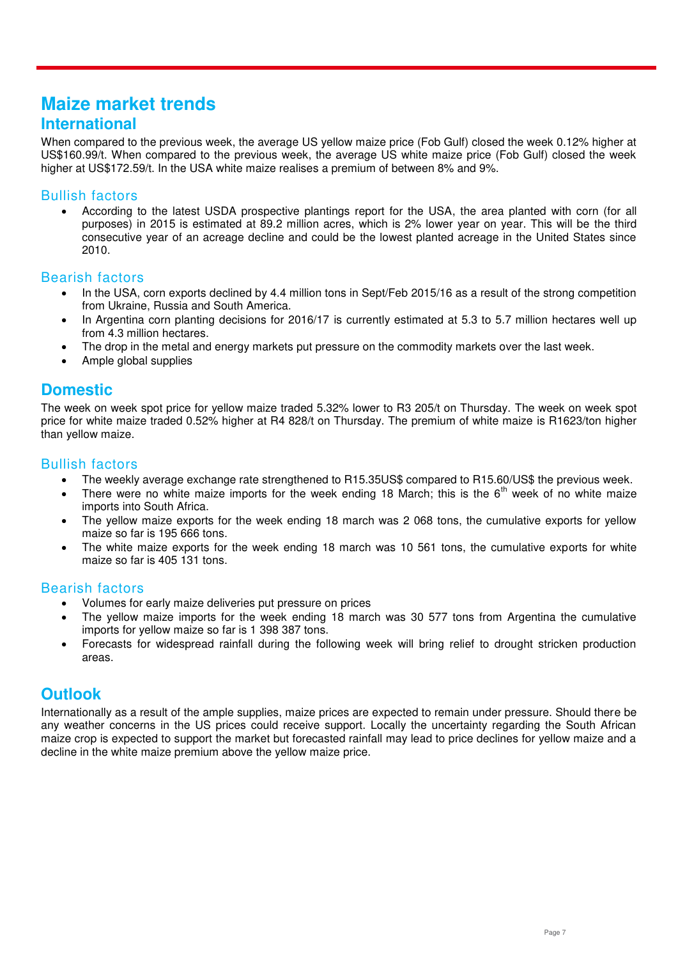# <span id="page-6-0"></span>**Maize market trends International**

When compared to the previous week, the average US yellow maize price (Fob Gulf) closed the week 0.12% higher at US\$160.99/t. When compared to the previous week, the average US white maize price (Fob Gulf) closed the week higher at US\$172.59/t. In the USA white maize realises a premium of between 8% and 9%.

#### Bullish factors

 According to the latest USDA prospective plantings report for the USA, the area planted with corn (for all purposes) in 2015 is estimated at 89.2 million acres, which is 2% lower year on year. This will be the third consecutive year of an acreage decline and could be the lowest planted acreage in the United States since 2010.

#### Bearish factors

- In the USA, corn exports declined by 4.4 million tons in Sept/Feb 2015/16 as a result of the strong competition from Ukraine, Russia and South America.
- In Argentina corn planting decisions for 2016/17 is currently estimated at 5.3 to 5.7 million hectares well up from 4.3 million hectares.
- The drop in the metal and energy markets put pressure on the commodity markets over the last week.
- Ample global supplies

## **Domestic**

The week on week spot price for yellow maize traded 5.32% lower to R3 205/t on Thursday. The week on week spot price for white maize traded 0.52% higher at R4 828/t on Thursday. The premium of white maize is R1623/ton higher than yellow maize.

#### Bullish factors

- The weekly average exchange rate strengthened to R15.35US\$ compared to R15.60/US\$ the previous week.
- There were no white maize imports for the week ending 18 March; this is the 6<sup>th</sup> week of no white maize imports into South Africa.
- The yellow maize exports for the week ending 18 march was 2 068 tons, the cumulative exports for yellow maize so far is 195 666 tons.
- The white maize exports for the week ending 18 march was 10 561 tons, the cumulative exports for white maize so far is 405 131 tons.

#### Bearish factors

- Volumes for early maize deliveries put pressure on prices
- The yellow maize imports for the week ending 18 march was 30 577 tons from Argentina the cumulative imports for yellow maize so far is 1 398 387 tons.
- Forecasts for widespread rainfall during the following week will bring relief to drought stricken production areas.

# **Outlook**

Internationally as a result of the ample supplies, maize prices are expected to remain under pressure. Should there be any weather concerns in the US prices could receive support. Locally the uncertainty regarding the South African maize crop is expected to support the market but forecasted rainfall may lead to price declines for yellow maize and a decline in the white maize premium above the yellow maize price.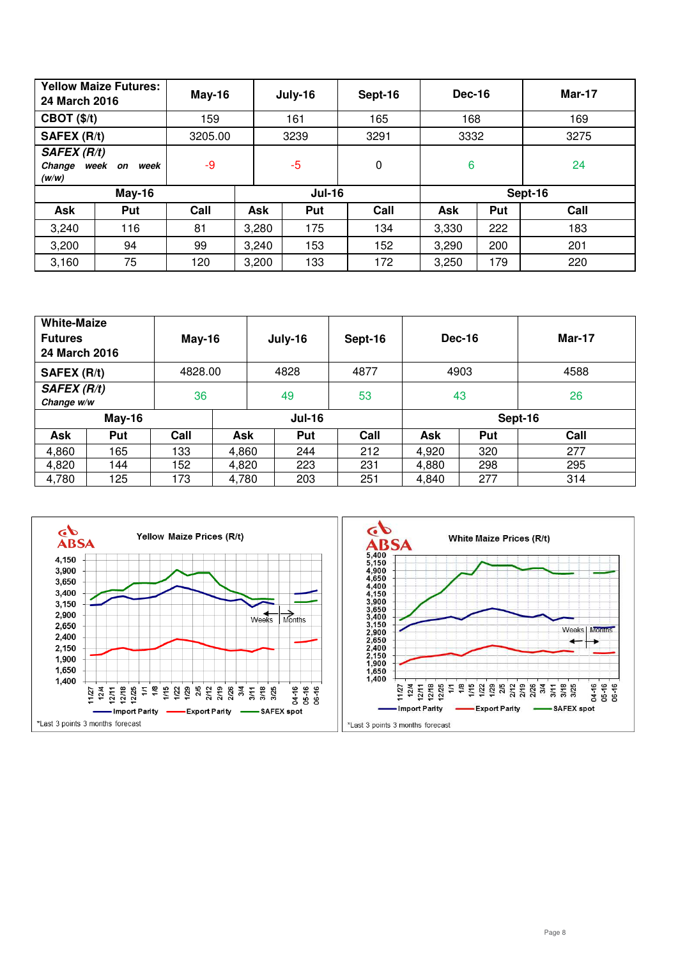| <b>Yellow Maize Futures:</b><br>24 March 2016 |      | $May-16$ |       | July-16       | Sept-16     | Dec-16  |     | <b>Mar-17</b> |  |
|-----------------------------------------------|------|----------|-------|---------------|-------------|---------|-----|---------------|--|
| CBOT(S/t)                                     |      | 159      |       | 161           | 165         | 168     |     | 169           |  |
| SAFEX (R/t)                                   |      | 3205.00  |       | 3239          | 3291        | 3332    |     | 3275          |  |
| <b>SAFEX (R/t)</b><br>Change week on<br>(w/w) | week | -9       |       | $-5$          | $\mathbf 0$ | 6       |     | 24            |  |
| <b>May-16</b>                                 |      |          |       | <b>Jul-16</b> |             | Sept-16 |     |               |  |
| Ask                                           | Put  | Call     | Ask   | Put           | Call        | Ask     | Put | Call          |  |
| 3,240                                         | 116  | 81       | 3,280 | 175           | 134         | 3,330   | 222 | 183           |  |
| 3,200                                         | 94   | 99       | 3,240 | 153           | 152         | 3,290   | 200 | 201           |  |
| 3,160                                         | 75   | 120      | 3,200 | 133           | 172         | 3,250   | 179 | 220           |  |

| <b>White-Maize</b><br><b>Futures</b><br>24 March 2016 |                                        | $May-16$ |       | July-16 | Sept-16 | Dec-16  |     | Mar-17 |  |
|-------------------------------------------------------|----------------------------------------|----------|-------|---------|---------|---------|-----|--------|--|
| SAFEX (R/t)                                           | 4828.00                                |          |       | 4828    | 4877    | 4903    |     | 4588   |  |
|                                                       | <b>SAFEX (R/t)</b><br>36<br>Change w/w |          |       | 49      | 53      | 43      |     | 26     |  |
|                                                       | <b>May-16</b><br><b>Jul-16</b>         |          |       |         |         | Sept-16 |     |        |  |
| Ask                                                   | Put                                    | Call     | Ask   | Put     | Call    | Ask     | Put | Call   |  |
| 4,860                                                 | 165                                    | 133      | 4,860 | 244     | 212     | 4,920   | 320 | 277    |  |
| 4,820                                                 | 144                                    | 152      | 4,820 | 223     | 231     | 4,880   | 298 | 295    |  |
| 4,780                                                 | 125                                    | 173      | 4,780 | 203     | 251     | 4,840   | 277 | 314    |  |

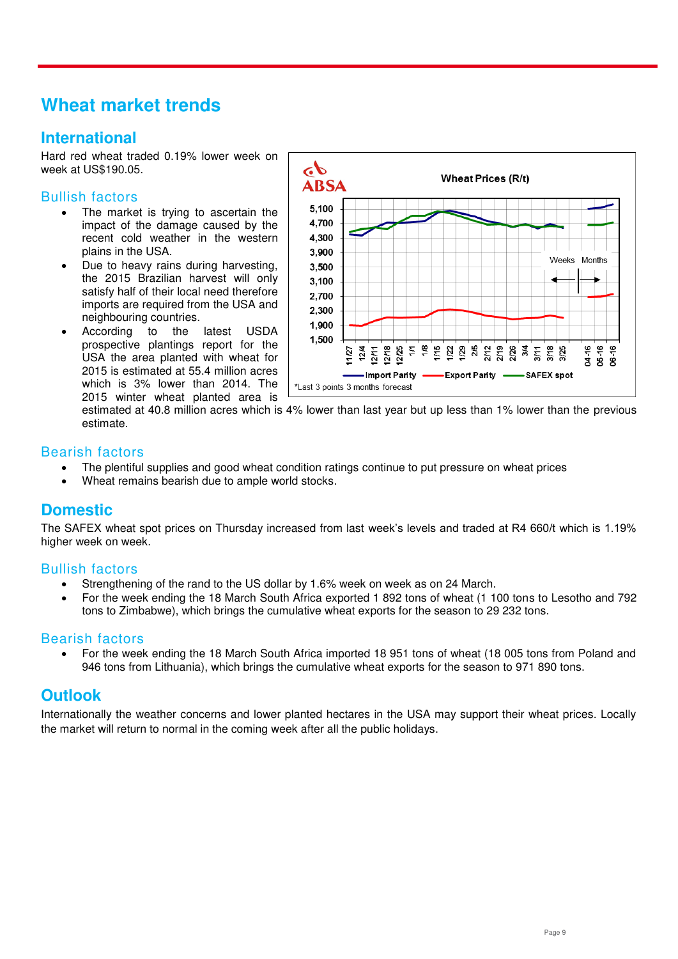# <span id="page-8-0"></span>**Wheat market trends**

# **International**

Hard red wheat traded 0.19% lower week on week at US\$190.05.

#### Bullish factors

- The market is trying to ascertain the impact of the damage caused by the recent cold weather in the western plains in the USA.
- Due to heavy rains during harvesting, the 2015 Brazilian harvest will only satisfy half of their local need therefore imports are required from the USA and neighbouring countries.
- According to the latest USDA prospective plantings report for the USA the area planted with wheat for 2015 is estimated at 55.4 million acres which is 3% lower than 2014. The 2015 winter wheat planted area is



estimated at 40.8 million acres which is 4% lower than last year but up less than 1% lower than the previous estimate.

#### Bearish factors

- The plentiful supplies and good wheat condition ratings continue to put pressure on wheat prices
- Wheat remains bearish due to ample world stocks.

# **Domestic**

The SAFEX wheat spot prices on Thursday increased from last week's levels and traded at R4 660/t which is 1.19% higher week on week.

#### Bullish factors

- Strengthening of the rand to the US dollar by 1.6% week on week as on 24 March.
- For the week ending the 18 March South Africa exported 1 892 tons of wheat (1 100 tons to Lesotho and 792 tons to Zimbabwe), which brings the cumulative wheat exports for the season to 29 232 tons.

#### Bearish factors

 For the week ending the 18 March South Africa imported 18 951 tons of wheat (18 005 tons from Poland and 946 tons from Lithuania), which brings the cumulative wheat exports for the season to 971 890 tons.

### **Outlook**

Internationally the weather concerns and lower planted hectares in the USA may support their wheat prices. Locally the market will return to normal in the coming week after all the public holidays.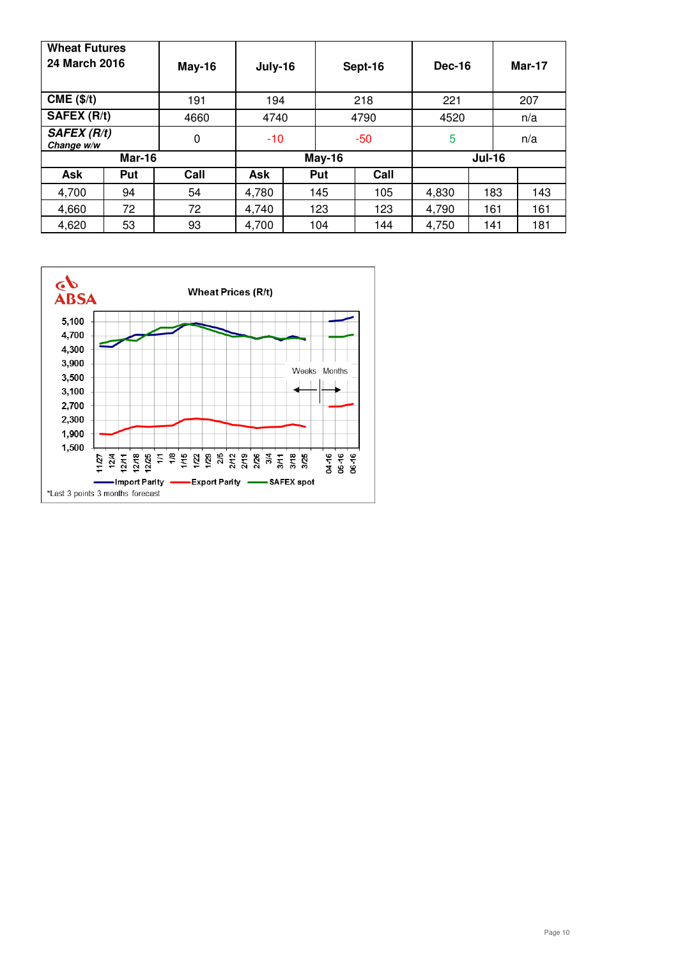| <b>Wheat Futures</b><br>24 March 2016 |     | May-16 | July-16        |              | Sept-16    |               | Dec-16 |     | <b>Mar-17</b> |  |
|---------------------------------------|-----|--------|----------------|--------------|------------|---------------|--------|-----|---------------|--|
| $CME$ ( $\frac{4}{3}$ )               |     | 191    | 194            |              | 218        | 221           |        | 207 |               |  |
| SAFEX (R/t)                           |     | 4660   |                | 4790<br>4740 |            | 4520          |        | n/a |               |  |
| <b>SAFEX (R/t)</b><br>Change w/w      |     | 0      | $-10$<br>$-50$ |              | 5          |               | n/a    |     |               |  |
| <b>Mar-16</b>                         |     |        | May-16         |              |            | <b>Jul-16</b> |        |     |               |  |
| Ask                                   | Put | Call   | Ask            |              | Put        | Call          |        |     |               |  |
| 4,700                                 | 94  | 54     | 4,780          |              | 145        | 105           | 4,830  | 183 | 143           |  |
| 4,660                                 | 72  | 72     | 4,740          |              | 123        | 123           | 4,790  | 161 | 161           |  |
| 4,620                                 | 53  | 93     | 4,700          |              | 104<br>144 |               | 4,750  | 141 | 181           |  |

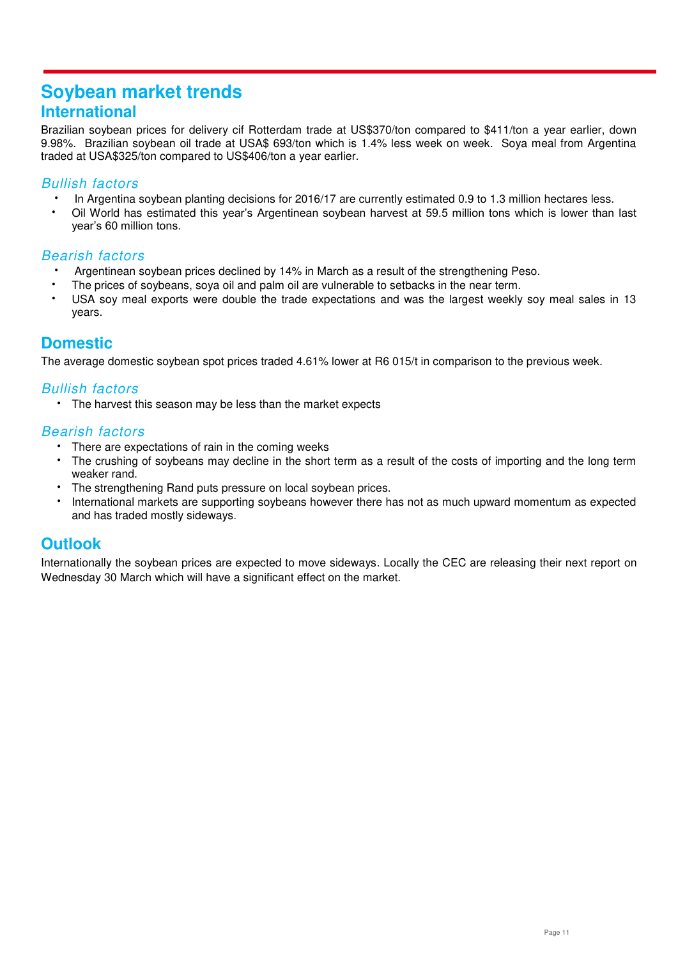# <span id="page-10-0"></span>**Soybean market trends International**

Brazilian soybean prices for delivery cif Rotterdam trade at US\$370/ton compared to \$411/ton a year earlier, down 9.98%. Brazilian soybean oil trade at USA\$ 693/ton which is 1.4% less week on week. Soya meal from Argentina traded at USA\$325/ton compared to US\$406/ton a year earlier.

#### *Bullish factors*

- In Argentina soybean planting decisions for 2016/17 are currently estimated 0.9 to 1.3 million hectares less.
- Oil World has estimated this year's Argentinean soybean harvest at 59.5 million tons which is lower than last year's 60 million tons.

### *Bearish factors*

- Argentinean soybean prices declined by 14% in March as a result of the strengthening Peso.
- The prices of soybeans, soya oil and palm oil are vulnerable to setbacks in the near term.
- USA soy meal exports were double the trade expectations and was the largest weekly soy meal sales in 13 years.

# **Domestic**

The average domestic soybean spot prices traded 4.61% lower at R6 015/t in comparison to the previous week.

### *Bullish factors*

The harvest this season may be less than the market expects

### *Bearish factors*

- There are expectations of rain in the coming weeks
- The crushing of soybeans may decline in the short term as a result of the costs of importing and the long term weaker rand.
- The strengthening Rand puts pressure on local soybean prices.
- International markets are supporting soybeans however there has not as much upward momentum as expected and has traded mostly sideways.

# **Outlook**

Internationally the soybean prices are expected to move sideways. Locally the CEC are releasing their next report on Wednesday 30 March which will have a significant effect on the market.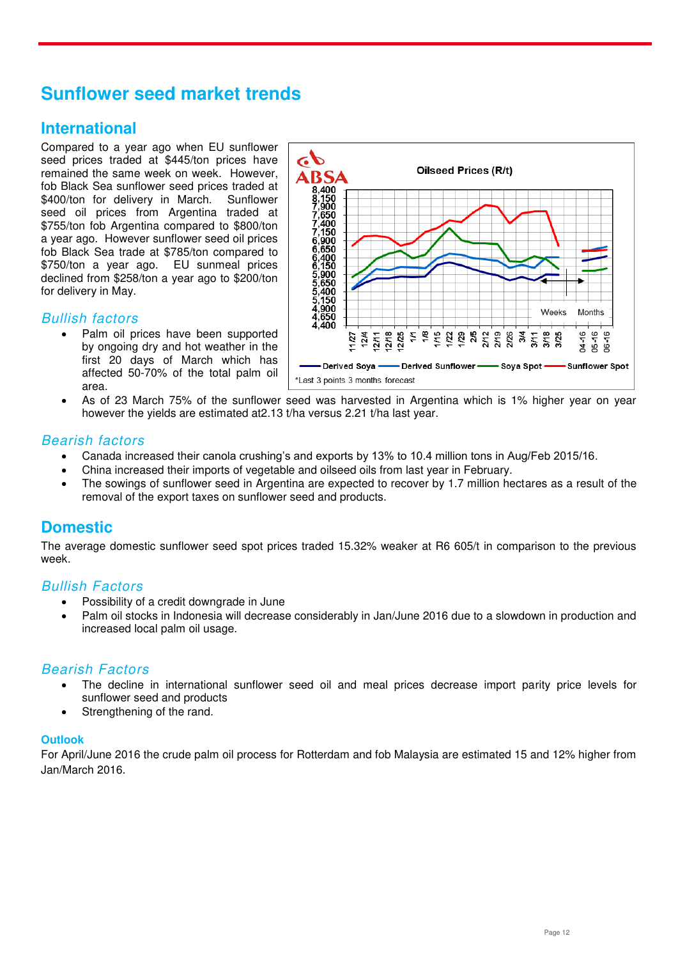# <span id="page-11-0"></span>**Sunflower seed market trends**

# **International**

Compared to a year ago when EU sunflower seed prices traded at \$445/ton prices have remained the same week on week. However, fob Black Sea sunflower seed prices traded at \$400/ton for delivery in March. Sunflower seed oil prices from Argentina traded at \$755/ton fob Argentina compared to \$800/ton a year ago. However sunflower seed oil prices fob Black Sea trade at \$785/ton compared to \$750/ton a year ago. EU sunmeal prices declined from \$258/ton a year ago to \$200/ton for delivery in May.

#### *Bullish factors*

 Palm oil prices have been supported by ongoing dry and hot weather in the first 20 days of March which has affected 50-70% of the total palm oil area.



 As of 23 March 75% of the sunflower seed was harvested in Argentina which is 1% higher year on year however the yields are estimated at2.13 t/ha versus 2.21 t/ha last year.

#### *Bearish factors*

- Canada increased their canola crushing's and exports by 13% to 10.4 million tons in Aug/Feb 2015/16.
- China increased their imports of vegetable and oilseed oils from last year in February.
- The sowings of sunflower seed in Argentina are expected to recover by 1.7 million hectares as a result of the removal of the export taxes on sunflower seed and products.

# **Domestic**

The average domestic sunflower seed spot prices traded 15.32% weaker at R6 605/t in comparison to the previous week.

#### *Bullish Factors*

- Possibility of a credit downgrade in June
- Palm oil stocks in Indonesia will decrease considerably in Jan/June 2016 due to a slowdown in production and increased local palm oil usage.

#### *Bearish Factors*

- The decline in international sunflower seed oil and meal prices decrease import parity price levels for sunflower seed and products
- Strengthening of the rand.

#### **Outlook**

For April/June 2016 the crude palm oil process for Rotterdam and fob Malaysia are estimated 15 and 12% higher from Jan/March 2016.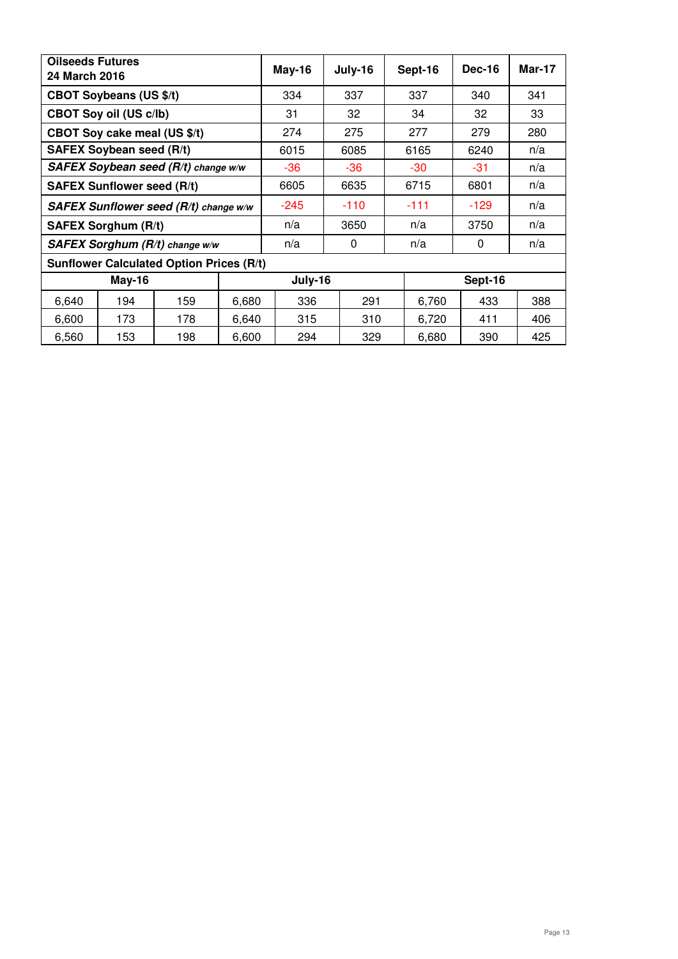| <b>Oilseeds Futures</b><br>24 March 2016 |                                 |                                                 |       | <b>May-16</b> | July-16 |        |        | Sept-16 | <b>Dec-16</b> | <b>Mar-17</b> |
|------------------------------------------|---------------------------------|-------------------------------------------------|-------|---------------|---------|--------|--------|---------|---------------|---------------|
|                                          | <b>CBOT Soybeans (US \$/t)</b>  |                                                 |       | 334           |         | 337    |        | 337     | 340           | 341           |
|                                          | <b>CBOT Soy oil (US c/lb)</b>   |                                                 |       | 31            | 32      |        |        | 34      | 32            | 33            |
|                                          | CBOT Soy cake meal (US \$/t)    |                                                 |       | 274           | 275     |        |        | 277     | 279           | 280           |
|                                          | <b>SAFEX Soybean seed (R/t)</b> |                                                 |       | 6015          | 6085    |        |        | 6165    | 6240          | n/a           |
| SAFEX Soybean seed (R/t) change w/w      |                                 |                                                 |       | -36           |         | -36    |        | -30     | -31           | n/a           |
| <b>SAFEX Sunflower seed (R/t)</b>        |                                 |                                                 |       | 6605          |         | 6635   |        | 6715    | 6801          | n/a           |
| SAFEX Sunflower seed (R/t) change w/w    |                                 | $-245$                                          |       | $-110$        |         | $-111$ | $-129$ | n/a     |               |               |
|                                          | <b>SAFEX Sorghum (R/t)</b>      |                                                 |       | n/a           |         | 3650   |        | n/a     | 3750          | n/a           |
| SAFEX Sorghum (R/t) change w/w           |                                 | n/a                                             |       | 0             |         | n/a    | 0      | n/a     |               |               |
|                                          |                                 | <b>Sunflower Calculated Option Prices (R/t)</b> |       |               |         |        |        |         |               |               |
|                                          | <b>May-16</b>                   |                                                 |       | July-16       |         |        |        |         | Sept-16       |               |
| 6,640                                    | 194                             | 159                                             | 6,680 | 336           |         | 291    |        | 6,760   | 433           | 388           |
| 6,600                                    | 173                             | 178                                             | 6,640 | 315           |         | 310    |        | 6,720   | 411           | 406           |
| 6,560                                    | 153                             | 198                                             | 6,600 | 294           |         | 329    |        | 6,680   | 390           | 425           |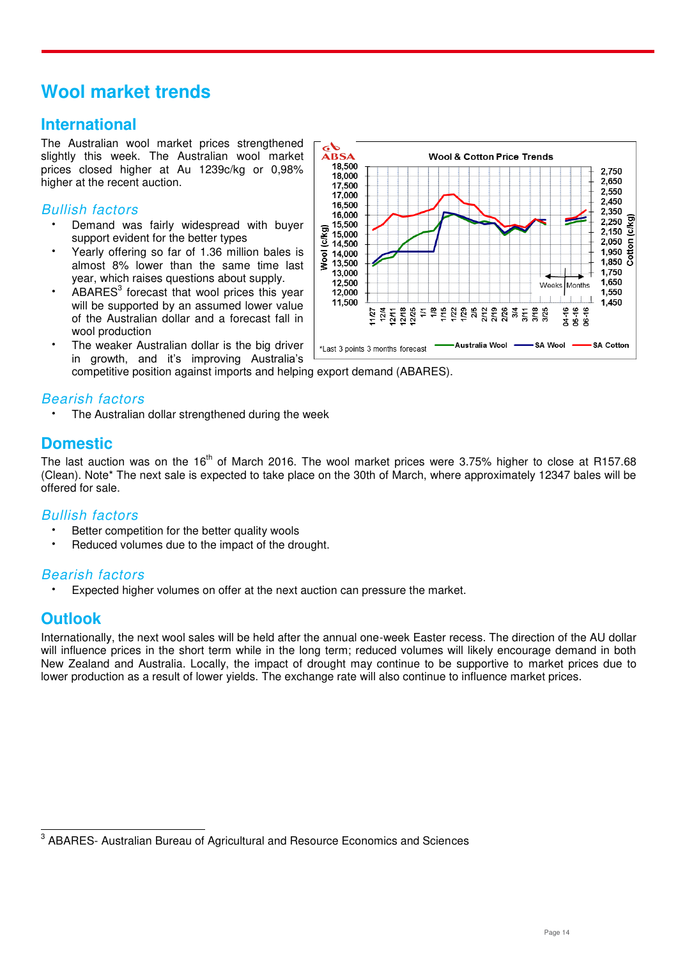# <span id="page-13-0"></span>**Wool market trends**

# **International**

The Australian wool market prices strengthened slightly this week. The Australian wool market prices closed higher at Au 1239c/kg or 0,98% higher at the recent auction.

### *Bullish factors*

- Demand was fairly widespread with buyer support evident for the better types
- Yearly offering so far of 1.36 million bales is almost 8% lower than the same time last year, which raises questions about supply.
- $\cdot$  ABARES<sup>3</sup> forecast that wool prices this year will be supported by an assumed lower value of the Australian dollar and a forecast fall in wool production
- The weaker Australian dollar is the big driver in growth, and it's improving Australia's competitive position against imports and helping export demand (ABARES).

### *Bearish factors*

The Australian dollar strengthened during the week

# **Domestic**

The last auction was on the  $16<sup>th</sup>$  of March 2016. The wool market prices were 3.75% higher to close at R157.68 (Clean). Note\* The next sale is expected to take place on the 30th of March, where approximately 12347 bales will be offered for sale.

### *Bullish factors*

- Better competition for the better quality wools
- Reduced volumes due to the impact of the drought.

### *Bearish factors*

Expected higher volumes on offer at the next auction can pressure the market.

# **Outlook**

Internationally, the next wool sales will be held after the annual one-week Easter recess. The direction of the AU dollar will influence prices in the short term while in the long term; reduced volumes will likely encourage demand in both New Zealand and Australia. Locally, the impact of drought may continue to be supportive to market prices due to lower production as a result of lower yields. The exchange rate will also continue to influence market prices.



**ENEVALLE 2018**<br> **EXAMPLE Australian Bureau of Agricultural and Resource Economics and Sciences**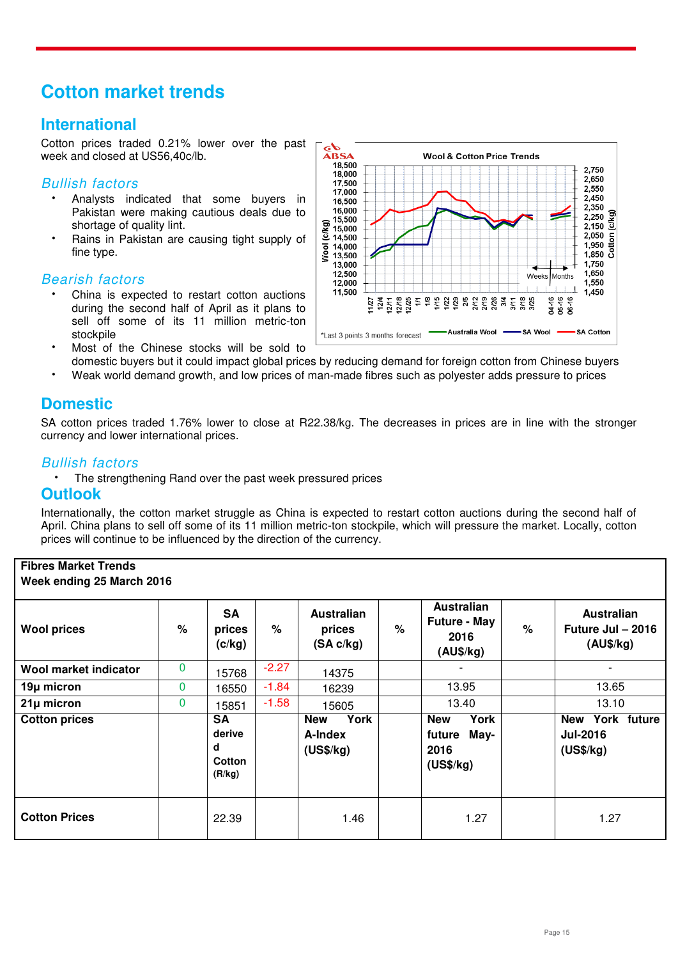# <span id="page-14-0"></span>**Cotton market trends**

# **International**

Cotton prices traded 0.21% lower over the past week and closed at US56,40c/lb.

#### *Bullish factors*

- Analysts indicated that some buyers in Pakistan were making cautious deals due to shortage of quality lint.
- Rains in Pakistan are causing tight supply of fine type.

#### *Bearish factors*

- China is expected to restart cotton auctions during the second half of April as it plans to sell off some of its 11 million metric-ton stockpile
- Most of the Chinese stocks will be sold to domestic buyers but it could impact global prices by reducing demand for foreign cotton from Chinese buyers
- Weak world demand growth, and low prices of man-made fibres such as polyester adds pressure to prices

# **Domestic**

SA cotton prices traded 1.76% lower to close at R22.38/kg. The decreases in prices are in line with the stronger currency and lower international prices.

#### *Bullish factors*

The strengthening Rand over the past week pressured prices

### **Outlook**

Internationally, the cotton market struggle as China is expected to restart cotton auctions during the second half of April. China plans to sell off some of its 11 million metric-ton stockpile, which will pressure the market. Locally, cotton prices will continue to be influenced by the direction of the currency.

#### **Fibres Market Trends Week ending 25 March 2016**

| <b>Wool prices</b>    | % | <b>SA</b><br>prices<br>(c/kg)                | %       | Australian<br>prices<br>(SA c/kg)          | % | Australian<br><b>Future - May</b><br>2016<br>(AU\$/kg)    | $\%$ | Australian<br>Future Jul - 2016<br>(AU\$/kg)    |
|-----------------------|---|----------------------------------------------|---------|--------------------------------------------|---|-----------------------------------------------------------|------|-------------------------------------------------|
| Wool market indicator | 0 | 15768                                        | $-2.27$ | 14375                                      |   |                                                           |      |                                                 |
| 19µ micron            | 0 | 16550                                        | $-1.84$ | 16239                                      |   | 13.95                                                     |      | 13.65                                           |
| $21\mu$ micron        | 0 | 15851                                        | $-1.58$ | 15605                                      |   | 13.40                                                     |      | 13.10                                           |
| <b>Cotton prices</b>  |   | <b>SA</b><br>derive<br>d<br>Cotton<br>(R/kg) |         | York<br><b>New</b><br>A-Index<br>(US\$/kg) |   | <b>New</b><br>York<br>May-<br>future<br>2016<br>(US\$/kg) |      | New York future<br><b>Jul-2016</b><br>(US\$/kg) |
| <b>Cotton Prices</b>  |   | 22.39                                        |         | 1.46                                       |   | 1.27                                                      |      | 1.27                                            |